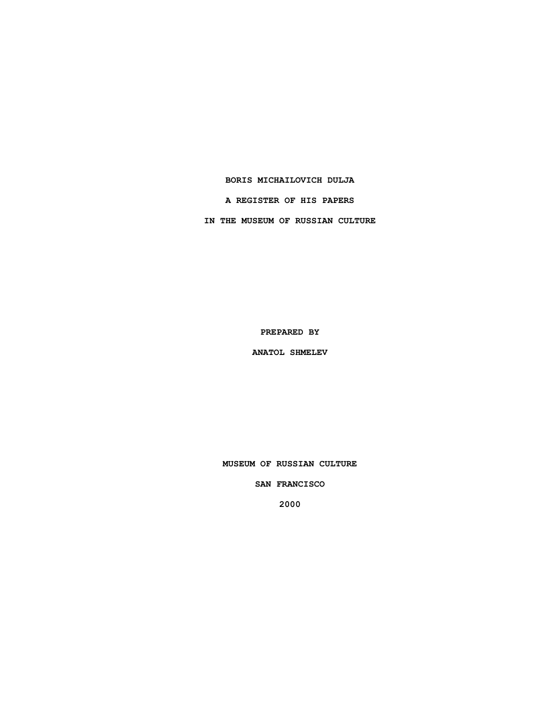### **BORIS MICHAILOVICH DULJA**

**A REGISTER OF HIS PAPERS**

**IN THE MUSEUM OF RUSSIAN CULTURE**

**PREPARED BY**

**ANATOL SHMELEV**

**MUSEUM OF RUSSIAN CULTURE**

**SAN FRANCISCO**

**2000**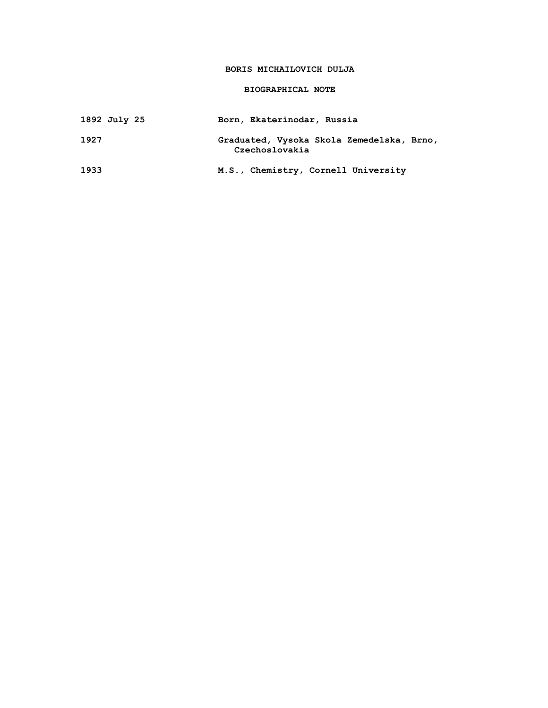## **BORIS MICHAILOVICH DULJA**

## **BIOGRAPHICAL NOTE**

| 1892 July 25 | Born, Ekaterinodar, Russia                                  |
|--------------|-------------------------------------------------------------|
| 1927         | Graduated, Vysoka Skola Zemedelska, Brno,<br>Czechoslovakia |
| 1933         | M.S., Chemistry, Cornell University                         |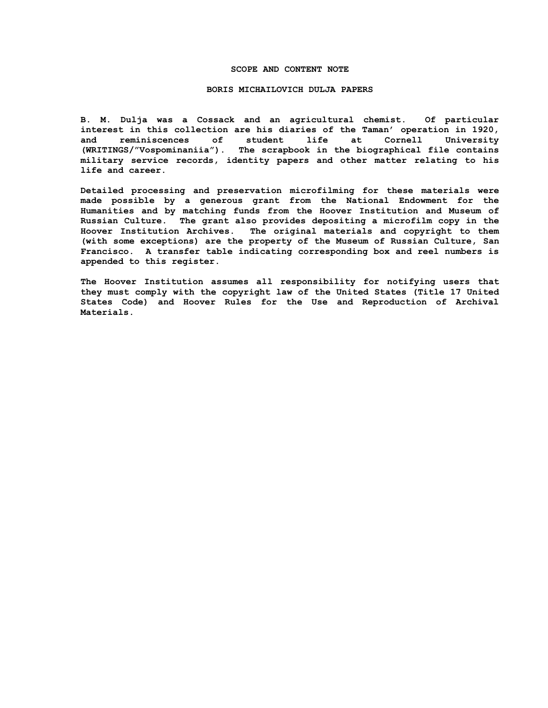### **SCOPE AND CONTENT NOTE**

#### **BORIS MICHAILOVICH DULJA PAPERS**

**B. M. Dulja was a Cossack and an agricultural chemist. Of particular interest in this collection are his diaries of the Taman' operation in 1920, and reminiscences of student life at Cornell University (WRITINGS/"Vospominaniia"). The scrapbook in the biographical file contains military service records, identity papers and other matter relating to his life and career.**

**Detailed processing and preservation microfilming for these materials were made possible by a generous grant from the National Endowment for the Humanities and by matching funds from the Hoover Institution and Museum of Russian Culture. The grant also provides depositing a microfilm copy in the Hoover Institution Archives. The original materials and copyright to them (with some exceptions) are the property of the Museum of Russian Culture, San Francisco. A transfer table indicating corresponding box and reel numbers is appended to this register.**

**The Hoover Institution assumes all responsibility for notifying users that they must comply with the copyright law of the United States (Title 17 United States Code) and Hoover Rules for the Use and Reproduction of Archival Materials.**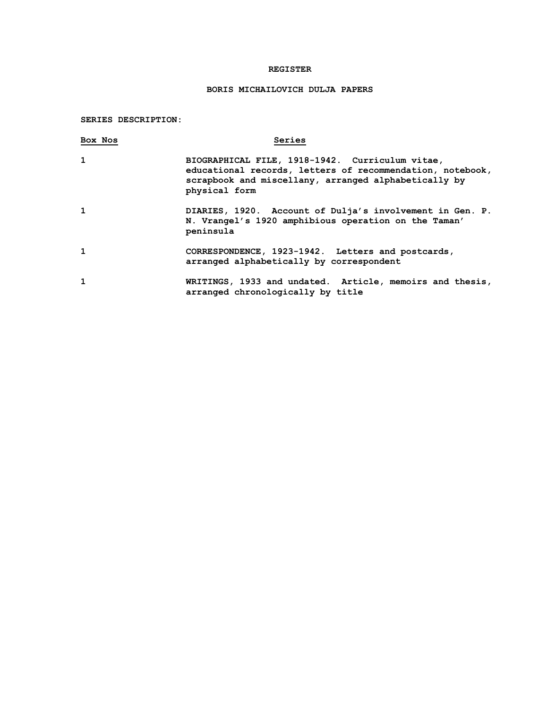## **REGISTER**

# **BORIS MICHAILOVICH DULJA PAPERS**

**SERIES DESCRIPTION:**

| Box Nos | Series                                                                                                                                                                                |
|---------|---------------------------------------------------------------------------------------------------------------------------------------------------------------------------------------|
| 1       | BIOGRAPHICAL FILE, 1918-1942. Curriculum vitae,<br>educational records, letters of recommendation, notebook,<br>scrapbook and miscellany, arranged alphabetically by<br>physical form |
| 1       | DIARIES, 1920. Account of Dulja's involvement in Gen. P.<br>N. Vrangel's 1920 amphibious operation on the Taman'<br>peninsula                                                         |
| 1       | CORRESPONDENCE, 1923-1942. Letters and postcards,<br>arranged alphabetically by correspondent                                                                                         |
| 1       | WRITINGS, 1933 and undated. Article, memoirs and thesis,<br>arranged chronologically by title                                                                                         |